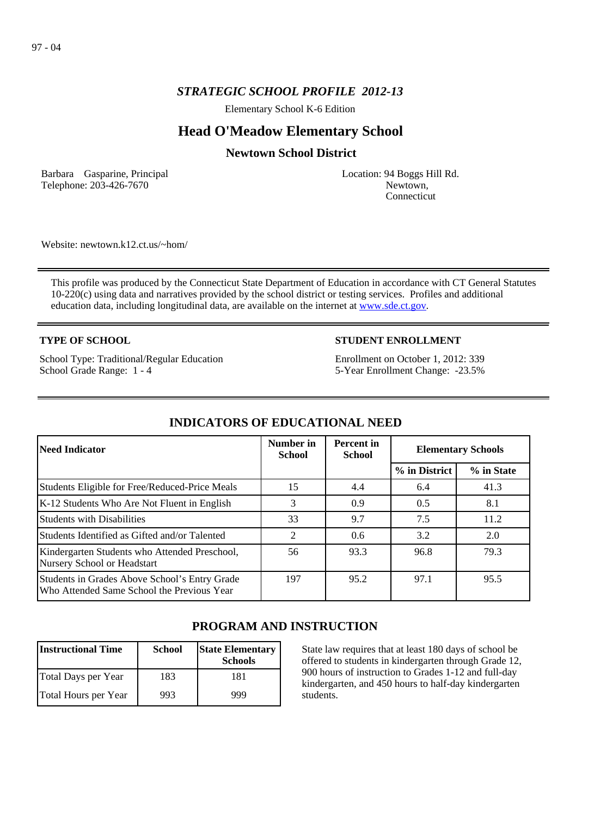## *STRATEGIC SCHOOL PROFILE 2012-13*

Elementary School K-6 Edition

# **Head O'Meadow Elementary School**

## **Newtown School District**

Barbara Gasparine, Principal Telephone: 203-426-7670

Location: 94 Boggs Hill Rd. Newtown, Connecticut

Website: newtown.k12.ct.us/~hom/

This profile was produced by the Connecticut State Department of Education in accordance with CT General Statutes 10-220(c) using data and narratives provided by the school district or testing services. Profiles and additional education data, including longitudinal data, are available on the internet at [www.sde.ct.gov](http://www.sde.ct.gov/).

### **TYPE OF SCHOOL**

School Type: Traditional/Regular Education School Grade Range: 1 - 4

### **STUDENT ENROLLMENT**

Enrollment on October 1, 2012: 339 5-Year Enrollment Change: -23.5%

| <b>Need Indicator</b>                                                                       | Number in<br><b>School</b> | <b>Percent</b> in<br><b>School</b> | <b>Elementary Schools</b> |            |
|---------------------------------------------------------------------------------------------|----------------------------|------------------------------------|---------------------------|------------|
|                                                                                             |                            |                                    | % in District             | % in State |
| Students Eligible for Free/Reduced-Price Meals                                              | 15                         | 4.4                                | 6.4                       | 41.3       |
| K-12 Students Who Are Not Fluent in English                                                 | 3                          | 0.9                                | 0.5                       | 8.1        |
| Students with Disabilities                                                                  | 33                         | 9.7                                | 7.5                       | 11.2       |
| Students Identified as Gifted and/or Talented                                               | 2                          | 0.6                                | 3.2                       | 2.0        |
| Kindergarten Students who Attended Preschool,<br>Nursery School or Headstart                | 56                         | 93.3                               | 96.8                      | 79.3       |
| Students in Grades Above School's Entry Grade<br>Who Attended Same School the Previous Year | 197                        | 95.2                               | 97.1                      | 95.5       |

## **INDICATORS OF EDUCATIONAL NEED**

## **PROGRAM AND INSTRUCTION**

| <b>Instructional Time</b> | <b>School</b> | <b>State Elementary</b><br><b>Schools</b> |
|---------------------------|---------------|-------------------------------------------|
| Total Days per Year       | 183           | 181                                       |
| Total Hours per Year      | 993           | 999                                       |

State law requires that at least 180 days of school be offered to students in kindergarten through Grade 12, 900 hours of instruction to Grades 1-12 and full-day kindergarten, and 450 hours to half-day kindergarten students.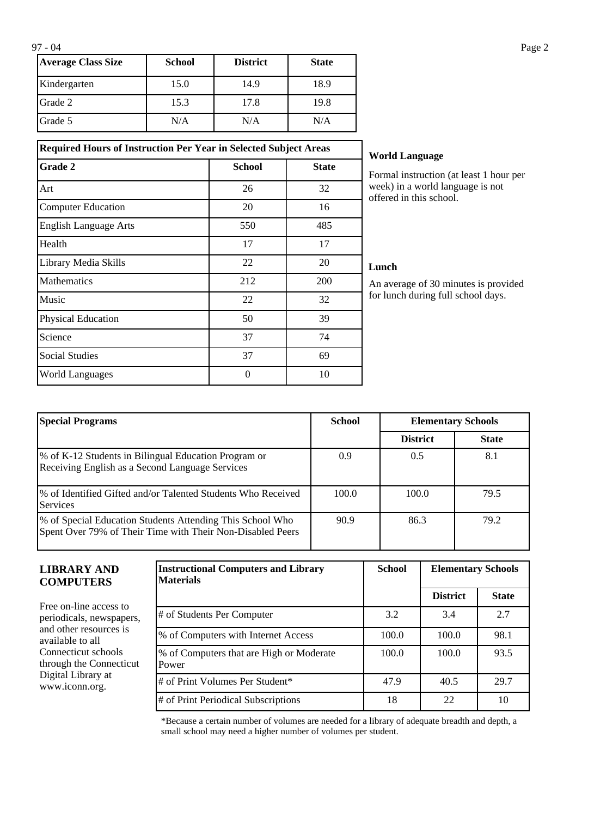| <b>Average Class Size</b> | <b>School</b> | <b>District</b> | <b>State</b> |
|---------------------------|---------------|-----------------|--------------|
| Kindergarten              | 15.0          | 14.9            | 18.9         |
| Grade 2                   | 15.3          | 17.8            | 19.8         |
| Grade 5                   | N/A           | N/A             | N/A          |

**Required Hours of Instruction Per Year in Selected Subject Areas Grade 2 School School State** 

Art 26 26 32 Computer Education 20 16 English Language Arts 550 550 485 Health 17 17 17 Library Media Skills 22 20 Mathematics 212 200 Music  $22$  32 Physical Education 50 50 39 Science 74 Social Studies 69 World Languages and the contract of the 10 and 10 and 10 and 10 and 10 and 10 and 10 and 10 and 10 and 10 and 10 and 10 and 10 and 10 and 10 and 10 and 10 and 10 and 10 and 10 and 10 and 10 and 10 and 10 and 10 and 10 and

## **World Language**

Formal instruction (at least 1 hour per week) in a world language is not offered in this school.

#### **Lunch**

An average of 30 minutes is provided for lunch during full school days.

| <b>Special Programs</b>                                                                                                 | <b>School</b> | <b>Elementary Schools</b> |              |
|-------------------------------------------------------------------------------------------------------------------------|---------------|---------------------------|--------------|
|                                                                                                                         |               | <b>District</b>           | <b>State</b> |
| % of K-12 Students in Bilingual Education Program or<br>Receiving English as a Second Language Services                 | 0.9           | 0.5                       | 8.1          |
| Ⅰ% of Identified Gifted and/or Talented Students Who Received<br><b>Services</b>                                        | 100.0         | 100.0                     | 79.5         |
| % of Special Education Students Attending This School Who<br>Spent Over 79% of Their Time with Their Non-Disabled Peers | 90.9          | 86.3                      | 79.2         |

### **LIBRARY AND COMPUTERS**

Free on-line access to periodicals, newspapers, and other resources is available to all Connecticut schools through the Connecticut Digital Library at www.iconn.org.

| <b>Instructional Computers and Library</b><br><b>Materials</b> | <b>School</b> | <b>Elementary Schools</b> |              |
|----------------------------------------------------------------|---------------|---------------------------|--------------|
|                                                                |               | <b>District</b>           | <b>State</b> |
| # of Students Per Computer                                     | 3.2           | 3.4                       | 2.7          |
| % of Computers with Internet Access                            | 100.0         | 100.0                     | 98.1         |
| % of Computers that are High or Moderate<br>Power              | 100.0         | 100.0                     | 93.5         |
| # of Print Volumes Per Student*                                | 47.9          | 40.5                      | 29.7         |
| # of Print Periodical Subscriptions                            | 18            | 22                        | 10           |

\*Because a certain number of volumes are needed for a library of adequate breadth and depth, a small school may need a higher number of volumes per student.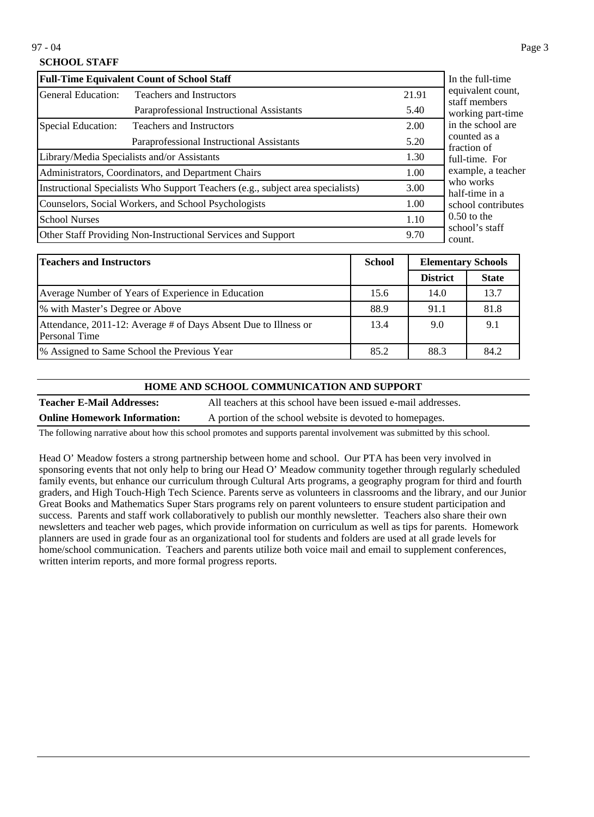## **SCHOOL STAFF**

| <b>Full-Time Equivalent Count of School Staff</b>                               | In the full-time                                     |       |                                    |
|---------------------------------------------------------------------------------|------------------------------------------------------|-------|------------------------------------|
| General Education:<br><b>Teachers and Instructors</b>                           |                                                      | 21.91 | equivalent count,<br>staff members |
|                                                                                 | Paraprofessional Instructional Assistants            | 5.40  | working part-time                  |
| Special Education:                                                              | <b>Teachers and Instructors</b>                      | 2.00  | in the school are                  |
|                                                                                 | Paraprofessional Instructional Assistants            | 5.20  | counted as a<br>fraction of        |
|                                                                                 | Library/Media Specialists and/or Assistants          | 1.30  | full-time. For                     |
| Administrators, Coordinators, and Department Chairs                             |                                                      | 1.00  | example, a teacher                 |
| Instructional Specialists Who Support Teachers (e.g., subject area specialists) |                                                      | 3.00  | who works<br>half-time in a        |
|                                                                                 | Counselors, Social Workers, and School Psychologists | 1.00  | school contributes                 |
| <b>School Nurses</b>                                                            |                                                      | 1.10  | $0.50$ to the                      |
| Other Staff Providing Non-Instructional Services and Support                    |                                                      |       | school's staff<br>count.           |

| <b>Teachers and Instructors</b>                                                  | <b>School</b> | <b>Elementary Schools</b> |              |
|----------------------------------------------------------------------------------|---------------|---------------------------|--------------|
|                                                                                  |               | <b>District</b>           | <b>State</b> |
| Average Number of Years of Experience in Education                               | 15.6          | 14.0                      | 13.7         |
| % with Master's Degree or Above                                                  | 88.9          | 91.1                      | 81.8         |
| Attendance, 2011-12: Average # of Days Absent Due to Illness or<br>Personal Time | 13.4          | 9.0                       | 9.1          |
| 1% Assigned to Same School the Previous Year                                     | 85.2          | 88.3                      | 84.2         |

### **HOME AND SCHOOL COMMUNICATION AND SUPPORT**

**Teacher E-Mail Addresses:** All teachers at this school have been issued e-mail addresses. **Online Homework Information:** A portion of the school website is devoted to homepages.

The following narrative about how this school promotes and supports parental involvement was submitted by this school.

Head O' Meadow fosters a strong partnership between home and school. Our PTA has been very involved in sponsoring events that not only help to bring our Head O' Meadow community together through regularly scheduled family events, but enhance our curriculum through Cultural Arts programs, a geography program for third and fourth graders, and High Touch-High Tech Science. Parents serve as volunteers in classrooms and the library, and our Junior Great Books and Mathematics Super Stars programs rely on parent volunteers to ensure student participation and success. Parents and staff work collaboratively to publish our monthly newsletter. Teachers also share their own newsletters and teacher web pages, which provide information on curriculum as well as tips for parents. Homework planners are used in grade four as an organizational tool for students and folders are used at all grade levels for home/school communication. Teachers and parents utilize both voice mail and email to supplement conferences, written interim reports, and more formal progress reports.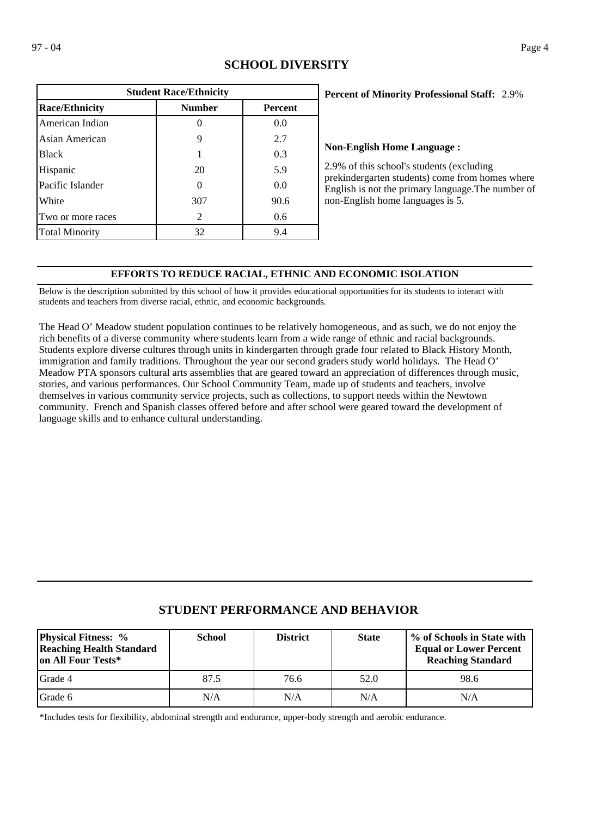| <b>Student Race/Ethnicity</b> |               |                |  |  |
|-------------------------------|---------------|----------------|--|--|
| <b>Race/Ethnicity</b>         | <b>Number</b> | <b>Percent</b> |  |  |
| American Indian               |               | 0.0            |  |  |
| Asian American                | 9             | 2.7            |  |  |
| <b>Black</b>                  |               | 0.3            |  |  |
| Hispanic                      | 20            | 5.9            |  |  |
| Pacific Islander              | 0             | 0.0            |  |  |
| White                         | 307           | 90.6           |  |  |
| Two or more races             | 2             | 0.6            |  |  |
| <b>Total Minority</b>         | 32            | 9.4            |  |  |

# **SCHOOL DIVERSITY**

### 2.9% **Percent of Minority Professional Staff:**

### **Non-English Home Language :**

2.9% of this school's students (excluding prekindergarten students) come from homes where English is not the primary language.The number of non-English home languages is 5.

## **EFFORTS TO REDUCE RACIAL, ETHNIC AND ECONOMIC ISOLATION**

Below is the description submitted by this school of how it provides educational opportunities for its students to interact with students and teachers from diverse racial, ethnic, and economic backgrounds.

The Head O' Meadow student population continues to be relatively homogeneous, and as such, we do not enjoy the rich benefits of a diverse community where students learn from a wide range of ethnic and racial backgrounds. Students explore diverse cultures through units in kindergarten through grade four related to Black History Month, immigration and family traditions. Throughout the year our second graders study world holidays. The Head O' Meadow PTA sponsors cultural arts assemblies that are geared toward an appreciation of differences through music, stories, and various performances. Our School Community Team, made up of students and teachers, involve themselves in various community service projects, such as collections, to support needs within the Newtown community. French and Spanish classes offered before and after school were geared toward the development of language skills and to enhance cultural understanding.

# **STUDENT PERFORMANCE AND BEHAVIOR**

| <b>Physical Fitness: %</b><br><b>Reaching Health Standard</b><br>on All Four Tests* | <b>School</b> | <b>District</b> | <b>State</b> | % of Schools in State with<br><b>Equal or Lower Percent</b><br><b>Reaching Standard</b> |
|-------------------------------------------------------------------------------------|---------------|-----------------|--------------|-----------------------------------------------------------------------------------------|
| <b>I</b> Grade 4                                                                    | 87.5          | 76.6            | 52.0         | 98.6                                                                                    |
| Grade 6                                                                             | N/A           | N/A             | N/A          | N/A                                                                                     |

\*Includes tests for flexibility, abdominal strength and endurance, upper-body strength and aerobic endurance.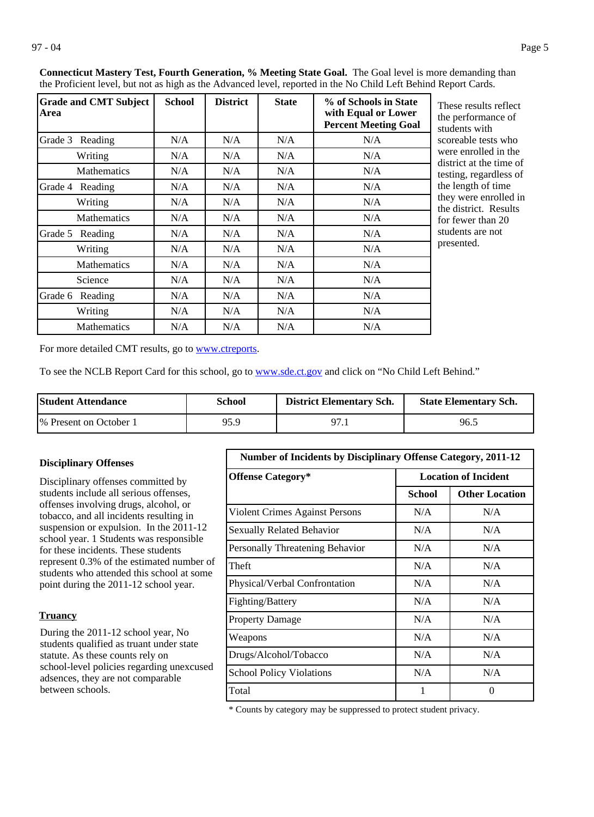| <b>Grade and CMT Subject</b><br>Area | <b>School</b> | <b>District</b> | <b>State</b> | % of Schools in State<br>with Equal or Lower<br><b>Percent Meeting Goal</b> |
|--------------------------------------|---------------|-----------------|--------------|-----------------------------------------------------------------------------|
| Grade 3 Reading                      | N/A           | N/A             | N/A          | N/A                                                                         |
| Writing                              | N/A           | N/A             | N/A          | N/A                                                                         |
| <b>Mathematics</b>                   | N/A           | N/A             | N/A          | N/A                                                                         |
| Grade 4<br>Reading                   | N/A           | N/A             | N/A          | N/A                                                                         |
| Writing                              | N/A           | N/A             | N/A          | N/A                                                                         |
| <b>Mathematics</b>                   | N/A           | N/A             | N/A          | N/A                                                                         |
| Grade 5<br>Reading                   | N/A           | N/A             | N/A          | N/A                                                                         |
| Writing                              | N/A           | N/A             | N/A          | N/A                                                                         |
| <b>Mathematics</b>                   | N/A           | N/A             | N/A          | N/A                                                                         |
| Science                              | N/A           | N/A             | N/A          | N/A                                                                         |
| Grade 6 Reading                      | N/A           | N/A             | N/A          | N/A                                                                         |
| Writing                              | N/A           | N/A             | N/A          | N/A                                                                         |
| <b>Mathematics</b>                   | N/A           | N/A             | N/A          | N/A                                                                         |

**Connecticut Mastery Test, Fourth Generation, % Meeting State Goal.** The Goal level is more demanding than the Proficient level, but not as high as the Advanced level, reported in the No Child Left Behind Report Cards.

> These results reflect he performance of tudents with coreable tests who were enrolled in the listrict at the time of esting, regardless of he length of time hey were enrolled in he district. Results or fewer than 20 tudents are not presented.

For more detailed CMT results, go to **[www.ctreports](http://www.ctreports/)**.

To see the NCLB Report Card for this school, go to [www.sde.ct.gov](http://www.sde.ct.gov/) and click on "No Child Left Behind."

| <b>Student Attendance</b> | School | <b>District Elementary Sch.</b> | <b>State Elementary Sch.</b> |
|---------------------------|--------|---------------------------------|------------------------------|
| 1\% Present on October 1  | 95.9   | $97_{.1}$                       | 96.5                         |

#### **Disciplinary Offenses**

Disciplinary offenses committed by students include all serious offenses, offenses involving drugs, alcohol, or tobacco, and all incidents resulting in suspension or expulsion. In the 2011-12 school year. 1 Students was responsible for these incidents. These students represent 0.3% of the estimated number of students who attended this school at some point during the 2011-12 school year.

### **Truancy**

During the 2011-12 school year, No students qualified as truant under state statute. As these counts rely on school-level policies regarding unexcused adsences, they are not comparable between schools.

| <b>Number of Incidents by Disciplinary Offense Category, 2011-12</b> |                             |                       |  |  |
|----------------------------------------------------------------------|-----------------------------|-----------------------|--|--|
| <b>Offense Category*</b>                                             | <b>Location of Incident</b> |                       |  |  |
|                                                                      | School                      | <b>Other Location</b> |  |  |
| Violent Crimes Against Persons                                       | N/A                         | N/A                   |  |  |
| <b>Sexually Related Behavior</b>                                     | N/A                         | N/A                   |  |  |
| Personally Threatening Behavior                                      | N/A                         | N/A                   |  |  |
| Theft                                                                | N/A                         | N/A                   |  |  |
| Physical/Verbal Confrontation                                        | N/A                         | N/A                   |  |  |
| Fighting/Battery                                                     | N/A                         | N/A                   |  |  |
| <b>Property Damage</b>                                               | N/A                         | N/A                   |  |  |
| Weapons                                                              | N/A                         | N/A                   |  |  |
| Drugs/Alcohol/Tobacco                                                | N/A                         | N/A                   |  |  |
| <b>School Policy Violations</b>                                      | N/A                         | N/A                   |  |  |
| Total                                                                | 1                           | 0                     |  |  |

\* Counts by category may be suppressed to protect student privacy.